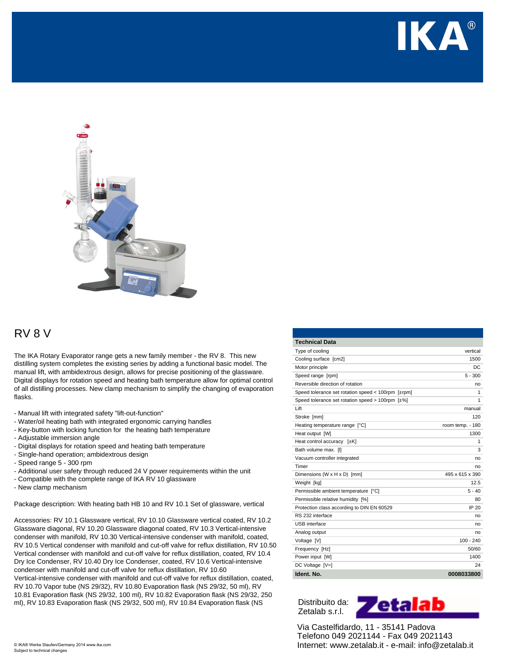



## RV 8 V

The IKA Rotary Evaporator range gets a new family member - the RV 8. This new distilling system completes the existing series by adding a functional basic model. The manual lift, with ambidextrous design, allows for precise positioning of the glassware. Digital displays for rotation speed and heating bath temperature allow for optimal control of all distilling processes. New clamp mechanism to simplify the changing of evaporation flasks.

- Manual lift with integrated safety "lift-out-function"
- Water/oil heating bath with integrated ergonomic carrying handles
- Key-button with locking function for the heating bath temperature
- Adjustable immersion angle
- Digital displays for rotation speed and heating bath temperature
- Single-hand operation; ambidextrous design
- Speed range 5 300 rpm
- Additional user safety through reduced 24 V power requirements within the unit
- Compatible with the complete range of IKA RV 10 glassware
- New clamp mechanism

Package description: With heating bath HB 10 and RV 10.1 Set of glassware, vertical

Accessories: RV 10.1 Glassware vertical, RV 10.10 Glassware vertical coated, RV 10.2 Glassware diagonal, RV 10.20 Glassware diagonal coated, RV 10.3 Vertical-intensive condenser with manifold, RV 10.30 Vertical-intensive condenser with manifold, coated, RV 10.5 Vertical condenser with manifold and cut-off valve for reflux distillation, RV 10.50 Vertical condenser with manifold and cut-off valve for reflux distillation, coated, RV 10.4 Dry Ice Condenser, RV 10.40 Dry Ice Condenser, coated, RV 10.6 Vertical-intensive condenser with manifold and cut-off valve for reflux distillation, RV 10.60 Vertical-intensive condenser with manifold and cut-off valve for reflux distillation, coated, RV 10.70 Vapor tube (NS 29/32), RV 10.80 Evaporation flask (NS 29/32, 50 ml), RV 10.81 Evaporation flask (NS 29/32, 100 ml), RV 10.82 Evaporation flask (NS 29/32, 250 ml), RV 10.83 Evaporation flask (NS 29/32, 500 ml), RV 10.84 Evaporation flask (NS

| <b>Technical Data</b>                                       |                  |
|-------------------------------------------------------------|------------------|
| Type of cooling                                             | vertical         |
| Cooling surface [cm2]                                       | 1500             |
| Motor principle                                             | DC               |
| Speed range [rpm]                                           | $5 - 300$        |
| Reversible direction of rotation                            | no               |
| Speed tolerance set rotation speed < $100$ rpm [ $\pm$ rpm] | 1                |
| Speed tolerance set rotation speed > 100rpm [±%]            | 1                |
| Lift                                                        | manual           |
| Stroke [mm]                                                 | 120              |
| Heating temperature range [°C]                              | room temp. - 180 |
| Heat output [W]                                             | 1300             |
| Heat control accuracy [±K]                                  | 1                |
| Bath volume max. III                                        | 3                |
| Vacuum controller integrated                                | no               |
| Timer                                                       | no               |
| Dimensions (W $x$ H $x$ D) [mm]                             | 495 x 615 x 390  |
| Weight [kg]                                                 | 12.5             |
| Permissible ambient temperature [°C]                        | $5 - 40$         |
| Permissible relative humidity [%]                           | 80               |
| Protection class according to DIN EN 60529                  | IP 20            |
| RS 232 interface                                            | no               |
| <b>USB</b> interface                                        | no               |
| Analog output                                               | no               |
| Voltage [V]                                                 | $100 - 240$      |
| Frequency [Hz]                                              | 50/60            |
| Power input [W]                                             | 1400             |
| DC Voltage [V=]                                             | 24               |
| Ident. No.                                                  | 0008033800       |
|                                                             |                  |

Distribuito da: Zetalab s.r.l.



Via Castelfidardo, 11 - 35141 Padova Telefono 049 2021144 - Fax 049 2021143 Internet: www.zetalab.it - e-mail: info@zetalab.it